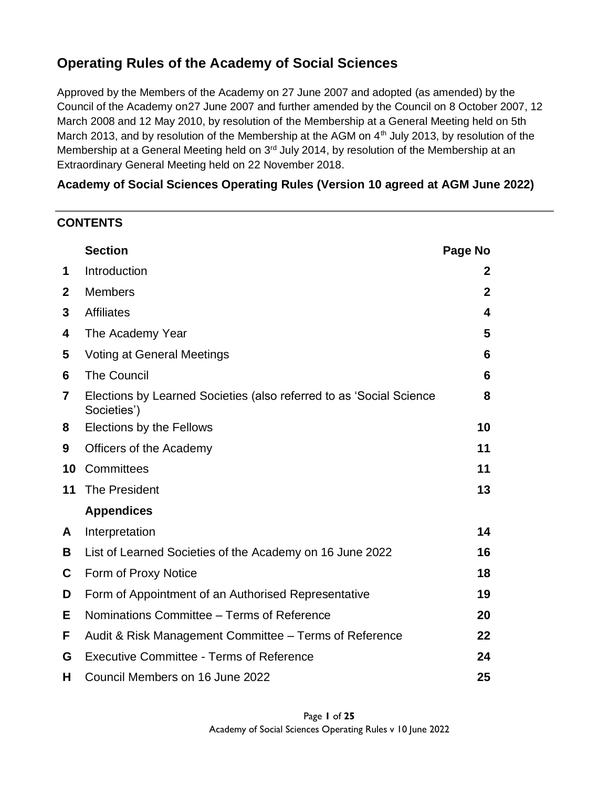## **Operating Rules of the Academy of Social Sciences**

Approved by the Members of the Academy on 27 June 2007 and adopted (as amended) by the Council of the Academy on27 June 2007 and further amended by the Council on 8 October 2007, 12 March 2008 and 12 May 2010, by resolution of the Membership at a General Meeting held on 5th March 2013, and by resolution of the Membership at the AGM on  $4<sup>th</sup>$  July 2013, by resolution of the Membership at a General Meeting held on 3<sup>rd</sup> July 2014, by resolution of the Membership at an Extraordinary General Meeting held on 22 November 2018.

### **Academy of Social Sciences Operating Rules (Version 10 agreed at AGM June 2022)**

### **CONTENTS**

|                | <b>Section</b>                                                                     | Page No      |
|----------------|------------------------------------------------------------------------------------|--------------|
| 1              | Introduction                                                                       | 2            |
| $\mathbf{2}$   | <b>Members</b>                                                                     | $\mathbf{2}$ |
| 3              | <b>Affiliates</b>                                                                  | 4            |
| 4              | The Academy Year                                                                   | 5            |
| 5              | <b>Voting at General Meetings</b>                                                  | 6            |
| 6              | <b>The Council</b>                                                                 | 6            |
| $\overline{7}$ | Elections by Learned Societies (also referred to as 'Social Science<br>Societies') | 8            |
| 8              | <b>Elections by the Fellows</b>                                                    | 10           |
| 9              | Officers of the Academy                                                            | 11           |
| 10             | Committees                                                                         | 11           |
| 11             | The President                                                                      | 13           |
|                | <b>Appendices</b>                                                                  |              |
| A              | Interpretation                                                                     | 14           |
| B              | List of Learned Societies of the Academy on 16 June 2022                           | 16           |
| C              | Form of Proxy Notice                                                               | 18           |
| D              | Form of Appointment of an Authorised Representative                                | 19           |
| Е              | Nominations Committee - Terms of Reference                                         | 20           |
| F.             | Audit & Risk Management Committee – Terms of Reference                             | 22           |
| G              | <b>Executive Committee - Terms of Reference</b>                                    | 24           |
| н              | Council Members on 16 June 2022                                                    | 25           |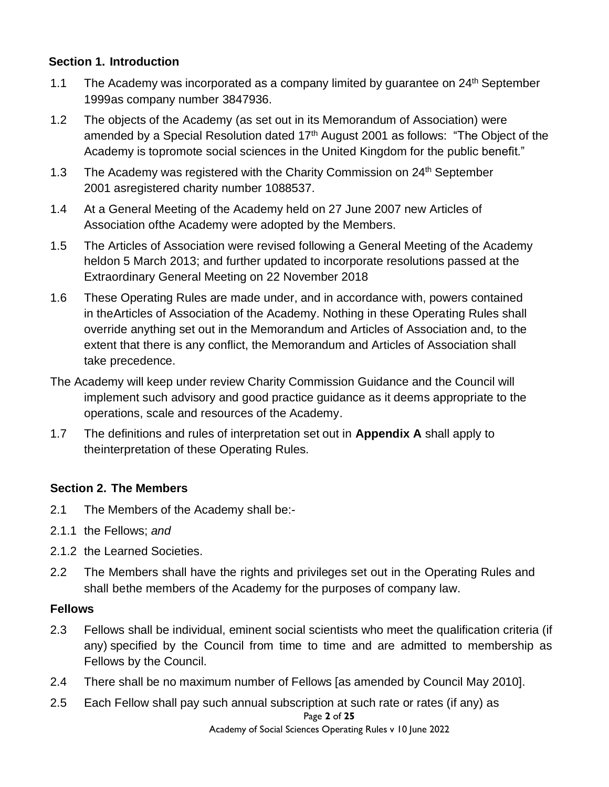### **Section 1. Introduction**

- 1.1 The Academy was incorporated as a company limited by quarantee on  $24<sup>th</sup>$  September 1999as company number 3847936.
- 1.2 The objects of the Academy (as set out in its Memorandum of Association) were amended by a Special Resolution dated 17<sup>th</sup> August 2001 as follows: "The Object of the Academy is topromote social sciences in the United Kingdom for the public benefit."
- 1.3 The Academy was registered with the Charity Commission on  $24<sup>th</sup>$  September 2001 asregistered charity number 1088537.
- 1.4 At a General Meeting of the Academy held on 27 June 2007 new Articles of Association ofthe Academy were adopted by the Members.
- 1.5 The Articles of Association were revised following a General Meeting of the Academy heldon 5 March 2013; and further updated to incorporate resolutions passed at the Extraordinary General Meeting on 22 November 2018
- 1.6 These Operating Rules are made under, and in accordance with, powers contained in theArticles of Association of the Academy. Nothing in these Operating Rules shall override anything set out in the Memorandum and Articles of Association and, to the extent that there is any conflict, the Memorandum and Articles of Association shall take precedence.
- The Academy will keep under review Charity Commission Guidance and the Council will implement such advisory and good practice guidance as it deems appropriate to the operations, scale and resources of the Academy.
- 1.7 The definitions and rules of interpretation set out in **Appendix A** shall apply to theinterpretation of these Operating Rules.

### **Section 2. The Members**

- 2.1 The Members of the Academy shall be:-
- 2.1.1 the Fellows; *and*
- 2.1.2 the Learned Societies.
- 2.2 The Members shall have the rights and privileges set out in the Operating Rules and shall bethe members of the Academy for the purposes of company law.

### **Fellows**

- 2.3 Fellows shall be individual, eminent social scientists who meet the qualification criteria (if any) specified by the Council from time to time and are admitted to membership as Fellows by the Council.
- 2.4 There shall be no maximum number of Fellows [as amended by Council May 2010].
- Page **2** of **25** 2.5 Each Fellow shall pay such annual subscription at such rate or rates (if any) as

Academy of Social Sciences Operating Rules v 10 June 2022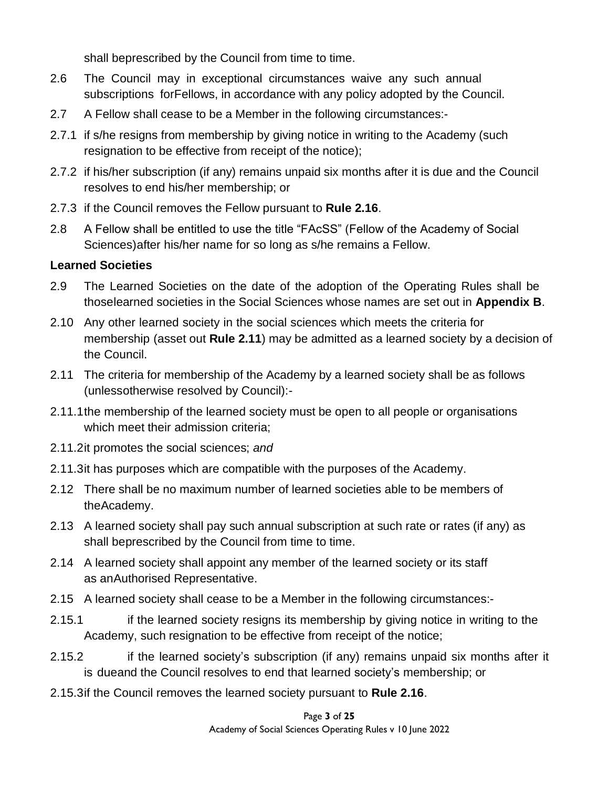shall beprescribed by the Council from time to time.

- 2.6 The Council may in exceptional circumstances waive any such annual subscriptions forFellows, in accordance with any policy adopted by the Council.
- 2.7 A Fellow shall cease to be a Member in the following circumstances:-
- 2.7.1 if s/he resigns from membership by giving notice in writing to the Academy (such resignation to be effective from receipt of the notice);
- 2.7.2 if his/her subscription (if any) remains unpaid six months after it is due and the Council resolves to end his/her membership; or
- 2.7.3 if the Council removes the Fellow pursuant to **Rule 2.16**.
- 2.8 A Fellow shall be entitled to use the title "FAcSS" (Fellow of the Academy of Social Sciences)after his/her name for so long as s/he remains a Fellow.

### **Learned Societies**

- 2.9 The Learned Societies on the date of the adoption of the Operating Rules shall be thoselearned societies in the Social Sciences whose names are set out in **Appendix B**.
- 2.10 Any other learned society in the social sciences which meets the criteria for membership (asset out **Rule 2.11**) may be admitted as a learned society by a decision of the Council.
- 2.11 The criteria for membership of the Academy by a learned society shall be as follows (unlessotherwise resolved by Council):-
- 2.11.1the membership of the learned society must be open to all people or organisations which meet their admission criteria;
- 2.11.2it promotes the social sciences; *and*
- 2.11.3it has purposes which are compatible with the purposes of the Academy.
- 2.12 There shall be no maximum number of learned societies able to be members of theAcademy.
- 2.13 A learned society shall pay such annual subscription at such rate or rates (if any) as shall beprescribed by the Council from time to time.
- 2.14 A learned society shall appoint any member of the learned society or its staff as anAuthorised Representative.
- 2.15 A learned society shall cease to be a Member in the following circumstances:-
- 2.15.1 if the learned society resigns its membership by giving notice in writing to the Academy, such resignation to be effective from receipt of the notice;
- 2.15.2 if the learned society's subscription (if any) remains unpaid six months after it is dueand the Council resolves to end that learned society's membership; or
- 2.15.3if the Council removes the learned society pursuant to **Rule 2.16**.

Page **3** of **25** Academy of Social Sciences Operating Rules v 10 June 2022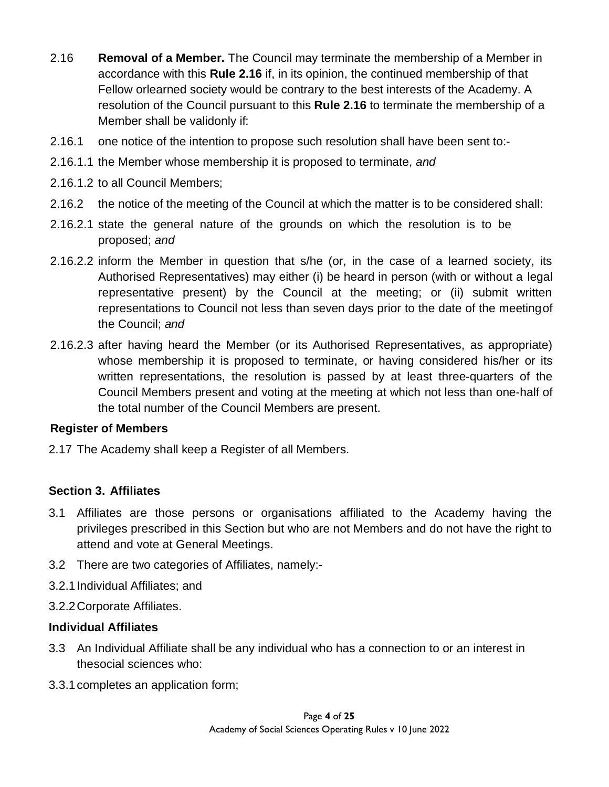- 2.16 **Removal of a Member.** The Council may terminate the membership of a Member in accordance with this **Rule 2.16** if, in its opinion, the continued membership of that Fellow orlearned society would be contrary to the best interests of the Academy. A resolution of the Council pursuant to this **Rule 2.16** to terminate the membership of a Member shall be validonly if:
- 2.16.1 one notice of the intention to propose such resolution shall have been sent to:-
- 2.16.1.1 the Member whose membership it is proposed to terminate, *and*
- 2.16.1.2 to all Council Members;
- 2.16.2 the notice of the meeting of the Council at which the matter is to be considered shall:
- 2.16.2.1 state the general nature of the grounds on which the resolution is to be proposed; *and*
- 2.16.2.2 inform the Member in question that s/he (or, in the case of a learned society, its Authorised Representatives) may either (i) be heard in person (with or without a legal representative present) by the Council at the meeting; or (ii) submit written representations to Council not less than seven days prior to the date of the meetingof the Council; *and*
- 2.16.2.3 after having heard the Member (or its Authorised Representatives, as appropriate) whose membership it is proposed to terminate, or having considered his/her or its written representations, the resolution is passed by at least three-quarters of the Council Members present and voting at the meeting at which not less than one-half of the total number of the Council Members are present.

### **Register of Members**

2.17 The Academy shall keep a Register of all Members.

### **Section 3. Affiliates**

- 3.1 Affiliates are those persons or organisations affiliated to the Academy having the privileges prescribed in this Section but who are not Members and do not have the right to attend and vote at General Meetings.
- 3.2 There are two categories of Affiliates, namely:-
- 3.2.1Individual Affiliates; and
- 3.2.2Corporate Affiliates.

### **Individual Affiliates**

- 3.3 An Individual Affiliate shall be any individual who has a connection to or an interest in thesocial sciences who:
- 3.3.1completes an application form;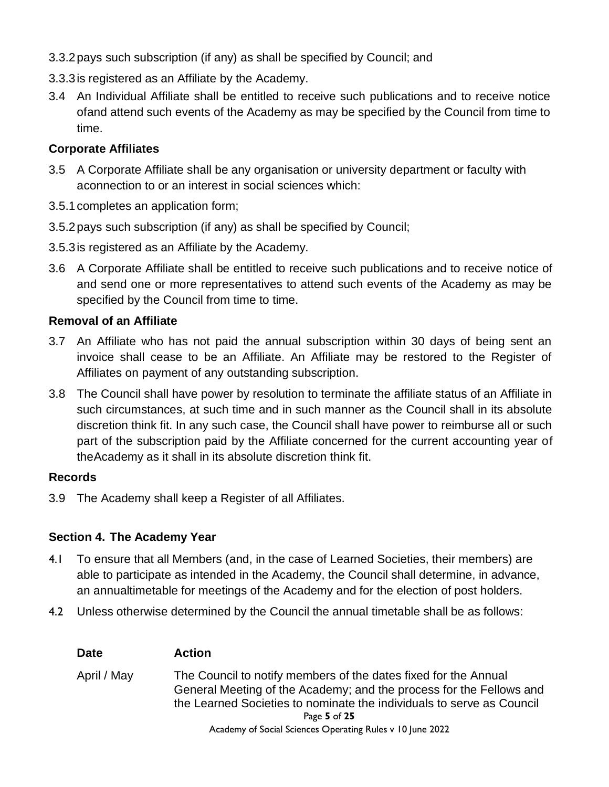- 3.3.2pays such subscription (if any) as shall be specified by Council; and
- 3.3.3is registered as an Affiliate by the Academy.
- 3.4 An Individual Affiliate shall be entitled to receive such publications and to receive notice ofand attend such events of the Academy as may be specified by the Council from time to time.

### **Corporate Affiliates**

- 3.5 A Corporate Affiliate shall be any organisation or university department or faculty with aconnection to or an interest in social sciences which:
- 3.5.1completes an application form;
- 3.5.2pays such subscription (if any) as shall be specified by Council;
- 3.5.3is registered as an Affiliate by the Academy.
- 3.6 A Corporate Affiliate shall be entitled to receive such publications and to receive notice of and send one or more representatives to attend such events of the Academy as may be specified by the Council from time to time.

### **Removal of an Affiliate**

- 3.7 An Affiliate who has not paid the annual subscription within 30 days of being sent an invoice shall cease to be an Affiliate. An Affiliate may be restored to the Register of Affiliates on payment of any outstanding subscription.
- 3.8 The Council shall have power by resolution to terminate the affiliate status of an Affiliate in such circumstances, at such time and in such manner as the Council shall in its absolute discretion think fit. In any such case, the Council shall have power to reimburse all or such part of the subscription paid by the Affiliate concerned for the current accounting year of theAcademy as it shall in its absolute discretion think fit.

### **Records**

3.9 The Academy shall keep a Register of all Affiliates.

### **Section 4. The Academy Year**

- 4.1 To ensure that all Members (and, in the case of Learned Societies, their members) are able to participate as intended in the Academy, the Council shall determine, in advance, an annualtimetable for meetings of the Academy and for the election of post holders.
- 4.2 Unless otherwise determined by the Council the annual timetable shall be as follows:

| <b>Date</b> | <b>Action</b>                                                                                                                                                                                                                                                                                |
|-------------|----------------------------------------------------------------------------------------------------------------------------------------------------------------------------------------------------------------------------------------------------------------------------------------------|
| April / May | The Council to notify members of the dates fixed for the Annual<br>General Meeting of the Academy; and the process for the Fellows and<br>the Learned Societies to nominate the individuals to serve as Council<br>Page 5 of 25<br>Academy of Social Sciences Operating Rules v 10 June 2022 |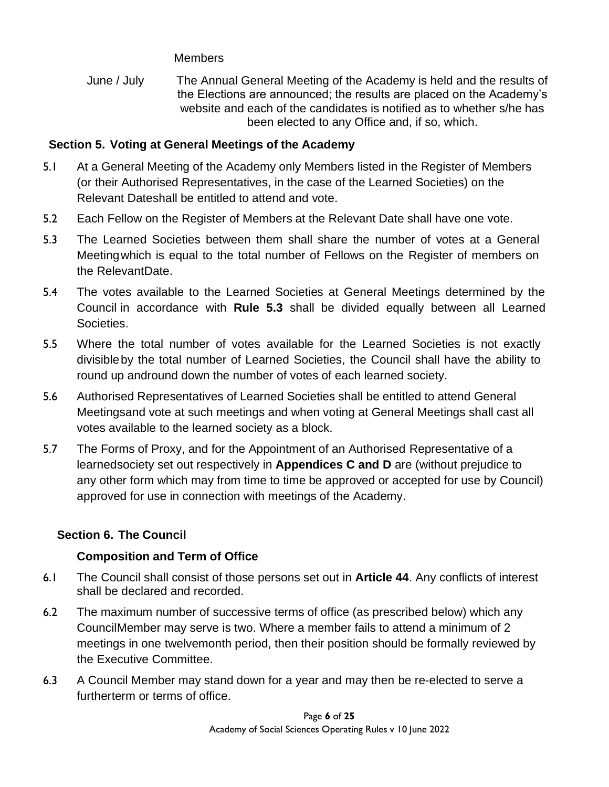**Members** 

June / July The Annual General Meeting of the Academy is held and the results of the Elections are announced; the results are placed on the Academy's website and each of the candidates is notified as to whether s/he has been elected to any Office and, if so, which.

### **Section 5. Voting at General Meetings of the Academy**

- 5.1 At a General Meeting of the Academy only Members listed in the Register of Members (or their Authorised Representatives, in the case of the Learned Societies) on the Relevant Dateshall be entitled to attend and vote.
- 5.2 Each Fellow on the Register of Members at the Relevant Date shall have one vote.
- 5.3 The Learned Societies between them shall share the number of votes at a General Meetingwhich is equal to the total number of Fellows on the Register of members on the RelevantDate.
- 5.4 The votes available to the Learned Societies at General Meetings determined by the Council in accordance with **Rule 5.3** shall be divided equally between all Learned Societies.
- 5.5 Where the total number of votes available for the Learned Societies is not exactly divisibleby the total number of Learned Societies, the Council shall have the ability to round up andround down the number of votes of each learned society.
- 5.6 Authorised Representatives of Learned Societies shall be entitled to attend General Meetingsand vote at such meetings and when voting at General Meetings shall cast all votes available to the learned society as a block.
- 5.7 The Forms of Proxy, and for the Appointment of an Authorised Representative of a learnedsociety set out respectively in **Appendices C and D** are (without prejudice to any other form which may from time to time be approved or accepted for use by Council) approved for use in connection with meetings of the Academy.

## **Section 6. The Council**

## **Composition and Term of Office**

- 6.1 The Council shall consist of those persons set out in **Article 44**. Any conflicts of interest shall be declared and recorded.
- 6.2 The maximum number of successive terms of office (as prescribed below) which any CouncilMember may serve is two. Where a member fails to attend a minimum of 2 meetings in one twelvemonth period, then their position should be formally reviewed by the Executive Committee.
- 6.3 A Council Member may stand down for a year and may then be re-elected to serve a furtherterm or terms of office.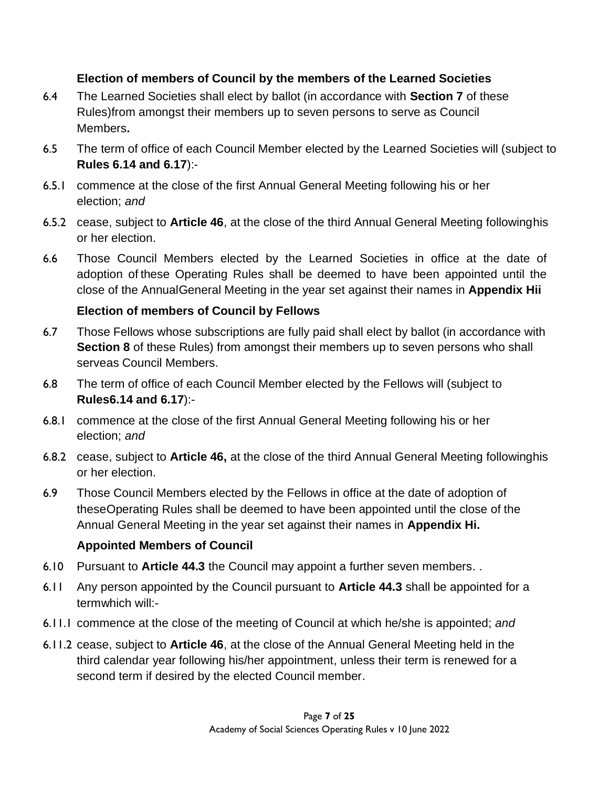## **Election of members of Council by the members of the Learned Societies**

- 6.4 The Learned Societies shall elect by ballot (in accordance with **Section 7** of these Rules)from amongst their members up to seven persons to serve as Council Members**.**
- 6.5 The term of office of each Council Member elected by the Learned Societies will (subject to **Rules 6.14 and 6.17**):-
- 6.5.1 commence at the close of the first Annual General Meeting following his or her election; *and*
- 6.5.2 cease, subject to **Article 46**, at the close of the third Annual General Meeting followinghis or her election.
- 6.6 Those Council Members elected by the Learned Societies in office at the date of adoption of these Operating Rules shall be deemed to have been appointed until the close of the AnnualGeneral Meeting in the year set against their names in **Appendix Hii**

## **Election of members of Council by Fellows**

- 6.7 Those Fellows whose subscriptions are fully paid shall elect by ballot (in accordance with **Section 8** of these Rules) from amongst their members up to seven persons who shall serveas Council Members.
- 6.8 The term of office of each Council Member elected by the Fellows will (subject to **Rules6.14 and 6.17**):-
- 6.8.1 commence at the close of the first Annual General Meeting following his or her election; *and*
- 6.8.2 cease, subject to **Article 46,** at the close of the third Annual General Meeting followinghis or her election.
- 6.9 Those Council Members elected by the Fellows in office at the date of adoption of theseOperating Rules shall be deemed to have been appointed until the close of the Annual General Meeting in the year set against their names in **Appendix Hi.**

## **Appointed Members of Council**

- 6.10 Pursuant to **Article 44.3** the Council may appoint a further seven members. .
- 6.11 Any person appointed by the Council pursuant to **Article 44.3** shall be appointed for a termwhich will:-
- 6.11.1 commence at the close of the meeting of Council at which he/she is appointed; *and*
- 6.11.2 cease, subject to **Article 46**, at the close of the Annual General Meeting held in the third calendar year following his/her appointment, unless their term is renewed for a second term if desired by the elected Council member.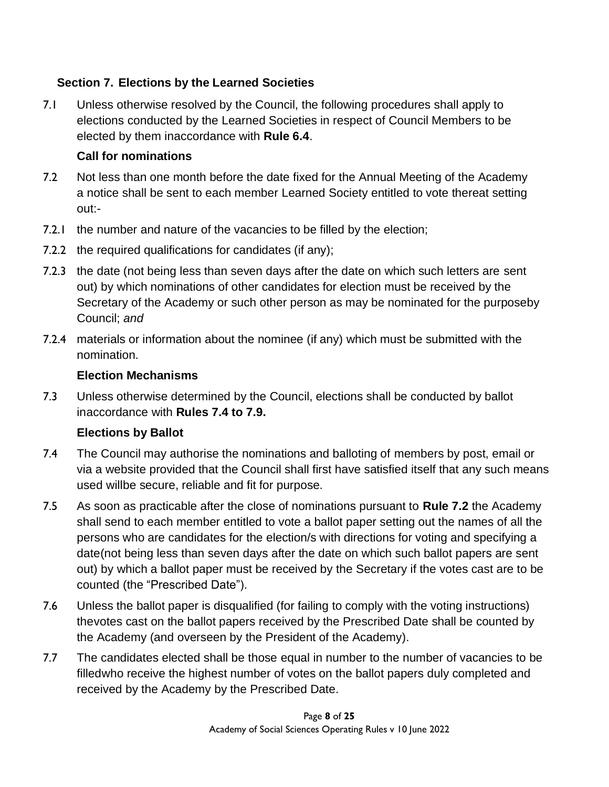## **Section 7. Elections by the Learned Societies**

7.1 Unless otherwise resolved by the Council, the following procedures shall apply to elections conducted by the Learned Societies in respect of Council Members to be elected by them inaccordance with **Rule 6.4**.

## **Call for nominations**

- 7.2 Not less than one month before the date fixed for the Annual Meeting of the Academy a notice shall be sent to each member Learned Society entitled to vote thereat setting out:-
- 7.2.1 the number and nature of the vacancies to be filled by the election;
- 7.2.2 the required qualifications for candidates (if any);
- 7.2.3 the date (not being less than seven days after the date on which such letters are sent out) by which nominations of other candidates for election must be received by the Secretary of the Academy or such other person as may be nominated for the purposeby Council; *and*
- 7.2.4 materials or information about the nominee (if any) which must be submitted with the nomination.

## **Election Mechanisms**

7.3 Unless otherwise determined by the Council, elections shall be conducted by ballot inaccordance with **Rules 7.4 to 7.9.**

## **Elections by Ballot**

- 7.4 The Council may authorise the nominations and balloting of members by post, email or via a website provided that the Council shall first have satisfied itself that any such means used willbe secure, reliable and fit for purpose.
- 7.5 As soon as practicable after the close of nominations pursuant to **Rule 7.2** the Academy shall send to each member entitled to vote a ballot paper setting out the names of all the persons who are candidates for the election/s with directions for voting and specifying a date(not being less than seven days after the date on which such ballot papers are sent out) by which a ballot paper must be received by the Secretary if the votes cast are to be counted (the "Prescribed Date").
- 7.6 Unless the ballot paper is disqualified (for failing to comply with the voting instructions) thevotes cast on the ballot papers received by the Prescribed Date shall be counted by the Academy (and overseen by the President of the Academy).
- 7.7 The candidates elected shall be those equal in number to the number of vacancies to be filledwho receive the highest number of votes on the ballot papers duly completed and received by the Academy by the Prescribed Date.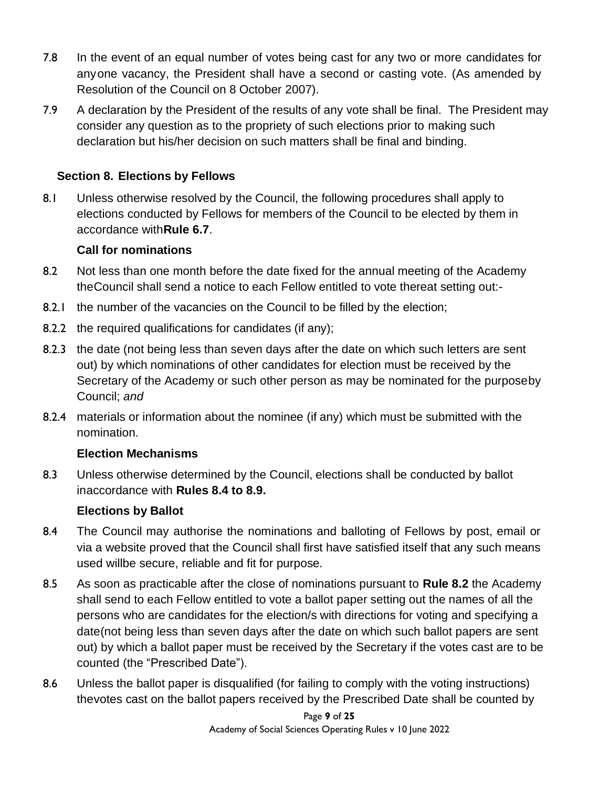- 7.8 In the event of an equal number of votes being cast for any two or more candidates for anyone vacancy, the President shall have a second or casting vote. (As amended by Resolution of the Council on 8 October 2007).
- 7.9 A declaration by the President of the results of any vote shall be final. The President may consider any question as to the propriety of such elections prior to making such declaration but his/her decision on such matters shall be final and binding.

### **Section 8. Elections by Fellows**

8.1 Unless otherwise resolved by the Council, the following procedures shall apply to elections conducted by Fellows for members of the Council to be elected by them in accordance with**Rule 6.7**.

### **Call for nominations**

- 8.2 Not less than one month before the date fixed for the annual meeting of the Academy theCouncil shall send a notice to each Fellow entitled to vote thereat setting out:-
- 8.2.1 the number of the vacancies on the Council to be filled by the election;
- 8.2.2 the required qualifications for candidates (if any);
- 8.2.3 the date (not being less than seven days after the date on which such letters are sent out) by which nominations of other candidates for election must be received by the Secretary of the Academy or such other person as may be nominated for the purposeby Council; *and*
- 8.2.4 materials or information about the nominee (if any) which must be submitted with the nomination.

### **Election Mechanisms**

8.3 Unless otherwise determined by the Council, elections shall be conducted by ballot inaccordance with **Rules 8.4 to 8.9.**

### **Elections by Ballot**

- 8.4 The Council may authorise the nominations and balloting of Fellows by post, email or via a website proved that the Council shall first have satisfied itself that any such means used willbe secure, reliable and fit for purpose.
- 8.5 As soon as practicable after the close of nominations pursuant to **Rule 8.2** the Academy shall send to each Fellow entitled to vote a ballot paper setting out the names of all the persons who are candidates for the election/s with directions for voting and specifying a date(not being less than seven days after the date on which such ballot papers are sent out) by which a ballot paper must be received by the Secretary if the votes cast are to be counted (the "Prescribed Date").
- 8.6 Unless the ballot paper is disqualified (for failing to comply with the voting instructions) thevotes cast on the ballot papers received by the Prescribed Date shall be counted by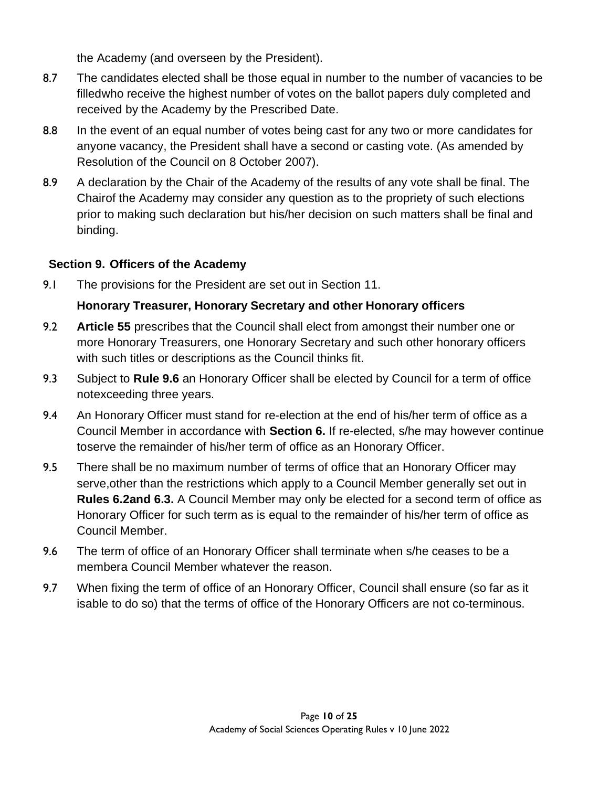the Academy (and overseen by the President).

- 8.7 The candidates elected shall be those equal in number to the number of vacancies to be filledwho receive the highest number of votes on the ballot papers duly completed and received by the Academy by the Prescribed Date.
- 8.8 In the event of an equal number of votes being cast for any two or more candidates for anyone vacancy, the President shall have a second or casting vote. (As amended by Resolution of the Council on 8 October 2007).
- 8.9 A declaration by the Chair of the Academy of the results of any vote shall be final. The Chairof the Academy may consider any question as to the propriety of such elections prior to making such declaration but his/her decision on such matters shall be final and binding.

## **Section 9. Officers of the Academy**

9.1 The provisions for the President are set out in Section 11.

## **Honorary Treasurer, Honorary Secretary and other Honorary officers**

- 9.2 **Article 55** prescribes that the Council shall elect from amongst their number one or more Honorary Treasurers, one Honorary Secretary and such other honorary officers with such titles or descriptions as the Council thinks fit.
- 9.3 Subject to **Rule 9.6** an Honorary Officer shall be elected by Council for a term of office notexceeding three years.
- 9.4 An Honorary Officer must stand for re-election at the end of his/her term of office as a Council Member in accordance with **Section 6.** If re-elected, s/he may however continue toserve the remainder of his/her term of office as an Honorary Officer.
- 9.5 There shall be no maximum number of terms of office that an Honorary Officer may serve,other than the restrictions which apply to a Council Member generally set out in **Rules 6.2and 6.3.** A Council Member may only be elected for a second term of office as Honorary Officer for such term as is equal to the remainder of his/her term of office as Council Member.
- 9.6 The term of office of an Honorary Officer shall terminate when s/he ceases to be a membera Council Member whatever the reason.
- 9.7 When fixing the term of office of an Honorary Officer, Council shall ensure (so far as it isable to do so) that the terms of office of the Honorary Officers are not co-terminous.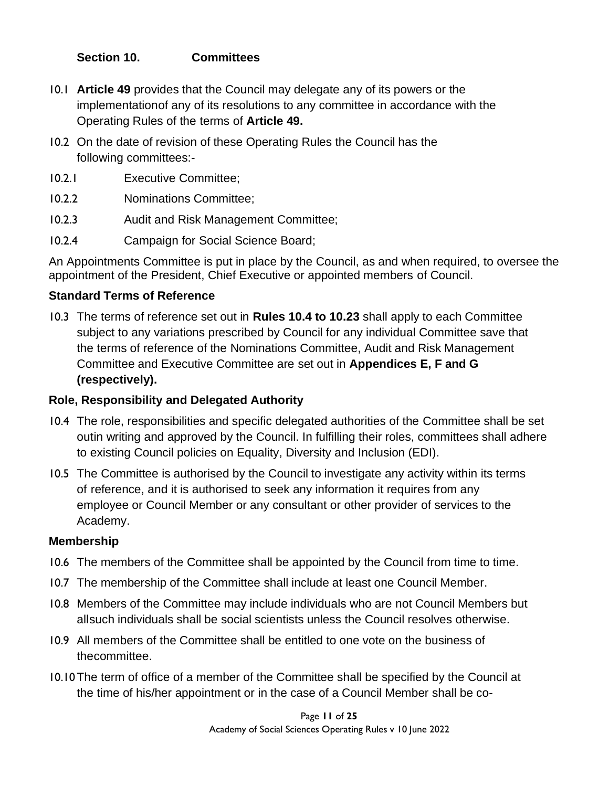### **Section 10. Committees**

- 10.1 **Article 49** provides that the Council may delegate any of its powers or the implementationof any of its resolutions to any committee in accordance with the Operating Rules of the terms of **Article 49.**
- 10.2 On the date of revision of these Operating Rules the Council has the following committees:-
- 10.2.1 Executive Committee;
- 10.2.2 Nominations Committee;
- 10.2.3 Audit and Risk Management Committee;
- 10.2.4 Campaign for Social Science Board;

An Appointments Committee is put in place by the Council, as and when required, to oversee the appointment of the President, Chief Executive or appointed members of Council.

### **Standard Terms of Reference**

10.3 The terms of reference set out in **Rules 10.4 to 10.23** shall apply to each Committee subject to any variations prescribed by Council for any individual Committee save that the terms of reference of the Nominations Committee, Audit and Risk Management Committee and Executive Committee are set out in **Appendices E, F and G (respectively).** 

### **Role, Responsibility and Delegated Authority**

- 10.4 The role, responsibilities and specific delegated authorities of the Committee shall be set outin writing and approved by the Council. In fulfilling their roles, committees shall adhere to existing Council policies on Equality, Diversity and Inclusion (EDI).
- 10.5 The Committee is authorised by the Council to investigate any activity within its terms of reference, and it is authorised to seek any information it requires from any employee or Council Member or any consultant or other provider of services to the Academy.

### **Membership**

- 10.6 The members of the Committee shall be appointed by the Council from time to time.
- 10.7 The membership of the Committee shall include at least one Council Member.
- 10.8 Members of the Committee may include individuals who are not Council Members but allsuch individuals shall be social scientists unless the Council resolves otherwise.
- 10.9 All members of the Committee shall be entitled to one vote on the business of thecommittee.
- 10.10The term of office of a member of the Committee shall be specified by the Council at the time of his/her appointment or in the case of a Council Member shall be co-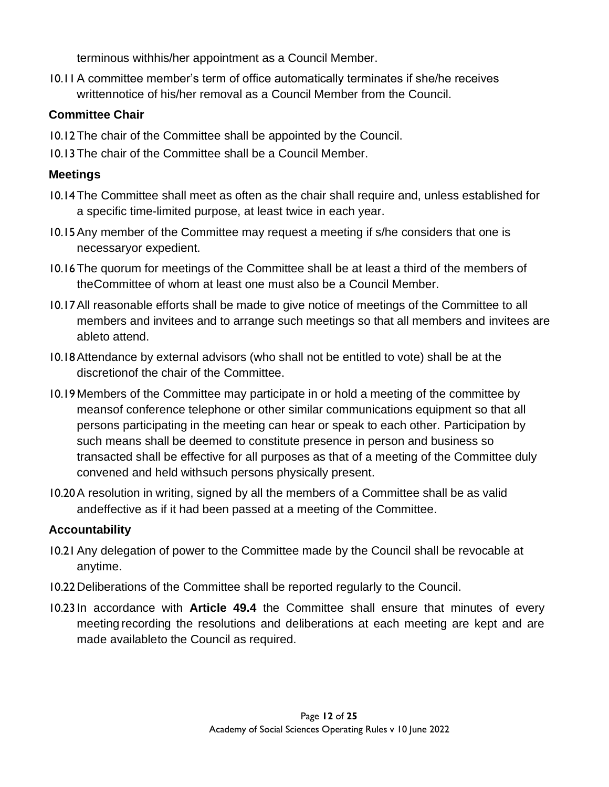terminous withhis/her appointment as a Council Member.

10.11A committee member's term of office automatically terminates if she/he receives writtennotice of his/her removal as a Council Member from the Council.

### **Committee Chair**

- 10.12The chair of the Committee shall be appointed by the Council.
- 10.13The chair of the Committee shall be a Council Member.

## **Meetings**

- 10.14The Committee shall meet as often as the chair shall require and, unless established for a specific time-limited purpose, at least twice in each year.
- 10.15Any member of the Committee may request a meeting if s/he considers that one is necessaryor expedient.
- 10.16The quorum for meetings of the Committee shall be at least a third of the members of theCommittee of whom at least one must also be a Council Member.
- 10.17All reasonable efforts shall be made to give notice of meetings of the Committee to all members and invitees and to arrange such meetings so that all members and invitees are ableto attend.
- 10.18Attendance by external advisors (who shall not be entitled to vote) shall be at the discretionof the chair of the Committee.
- 10.19 Members of the Committee may participate in or hold a meeting of the committee by meansof conference telephone or other similar communications equipment so that all persons participating in the meeting can hear or speak to each other. Participation by such means shall be deemed to constitute presence in person and business so transacted shall be effective for all purposes as that of a meeting of the Committee duly convened and held withsuch persons physically present.
- 10.20A resolution in writing, signed by all the members of a Committee shall be as valid andeffective as if it had been passed at a meeting of the Committee.

## **Accountability**

- 10.21Any delegation of power to the Committee made by the Council shall be revocable at anytime.
- 10.22Deliberations of the Committee shall be reported regularly to the Council.
- 10.23 In accordance with **Article 49.4** the Committee shall ensure that minutes of every meeting recording the resolutions and deliberations at each meeting are kept and are made availableto the Council as required.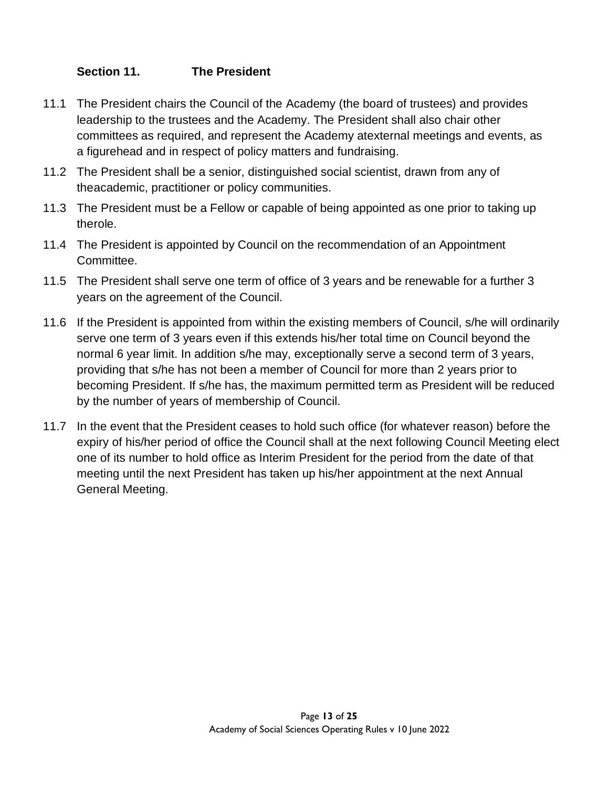### **Section 11. The President**

- 11.1 The President chairs the Council of the Academy (the board of trustees) and provides leadership to the trustees and the Academy. The President shall also chair other committees as required, and represent the Academy atexternal meetings and events, as a figurehead and in respect of policy matters and fundraising.
- 11.2 The President shall be a senior, distinguished social scientist, drawn from any of theacademic, practitioner or policy communities.
- 11.3 The President must be a Fellow or capable of being appointed as one prior to taking up therole.
- 11.4 The President is appointed by Council on the recommendation of an Appointment Committee.
- 11.5 The President shall serve one term of office of 3 years and be renewable for a further 3 years on the agreement of the Council.
- 11.6 If the President is appointed from within the existing members of Council, s/he will ordinarily serve one term of 3 years even if this extends his/her total time on Council beyond the normal 6 year limit. In addition s/he may, exceptionally serve a second term of 3 years, providing that s/he has not been a member of Council for more than 2 years prior to becoming President. If s/he has, the maximum permitted term as President will be reduced by the number of years of membership of Council.
- 11.7 In the event that the President ceases to hold such office (for whatever reason) before the expiry of his/her period of office the Council shall at the next following Council Meeting elect one of its number to hold office as Interim President for the period from the date of that meeting until the next President has taken up his/her appointment at the next Annual General Meeting.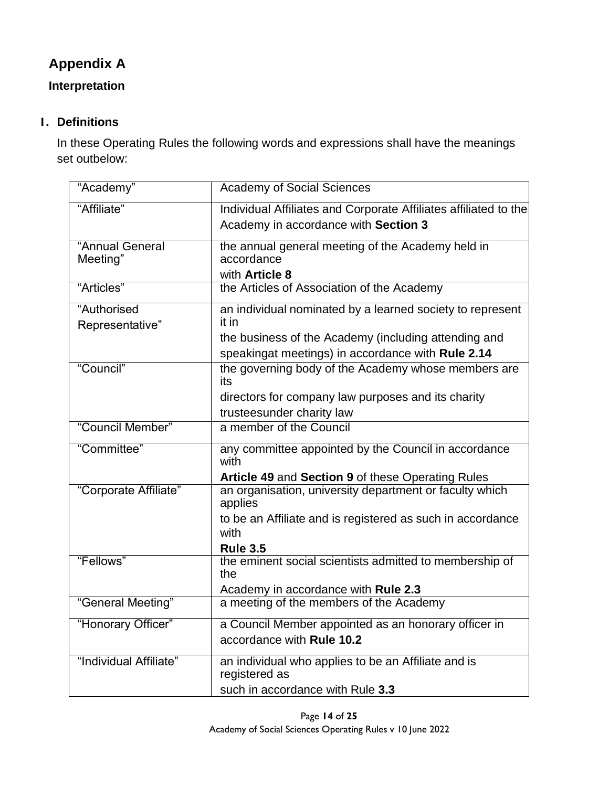# **Appendix A**

## **Interpretation**

## **1. Definitions**

In these Operating Rules the following words and expressions shall have the meanings set outbelow:

| "Academy"                      | <b>Academy of Social Sciences</b>                                    |
|--------------------------------|----------------------------------------------------------------------|
| "Affiliate"                    | Individual Affiliates and Corporate Affiliates affiliated to the     |
|                                | Academy in accordance with Section 3                                 |
| "Annual General<br>Meeting"    | the annual general meeting of the Academy held in<br>accordance      |
|                                | with Article 8                                                       |
| "Articles"                     | the Articles of Association of the Academy                           |
| "Authorised<br>Representative" | an individual nominated by a learned society to represent<br>it in   |
|                                | the business of the Academy (including attending and                 |
|                                | speakingat meetings) in accordance with Rule 2.14                    |
| "Council"                      | the governing body of the Academy whose members are<br>its           |
|                                | directors for company law purposes and its charity                   |
|                                | trusteesunder charity law                                            |
| "Council Member"               | a member of the Council                                              |
| "Committee"                    | any committee appointed by the Council in accordance<br>with         |
|                                | Article 49 and Section 9 of these Operating Rules                    |
| "Corporate Affiliate"          | an organisation, university department or faculty which<br>applies   |
|                                | to be an Affiliate and is registered as such in accordance<br>with   |
|                                | <b>Rule 3.5</b>                                                      |
| "Fellows"                      | the eminent social scientists admitted to membership of<br>the       |
|                                | Academy in accordance with Rule 2.3                                  |
| "General Meeting"              | a meeting of the members of the Academy                              |
| "Honorary Officer"             | a Council Member appointed as an honorary officer in                 |
|                                | accordance with Rule 10.2                                            |
| "Individual Affiliate"         | an individual who applies to be an Affiliate and is<br>registered as |
|                                | such in accordance with Rule 3.3                                     |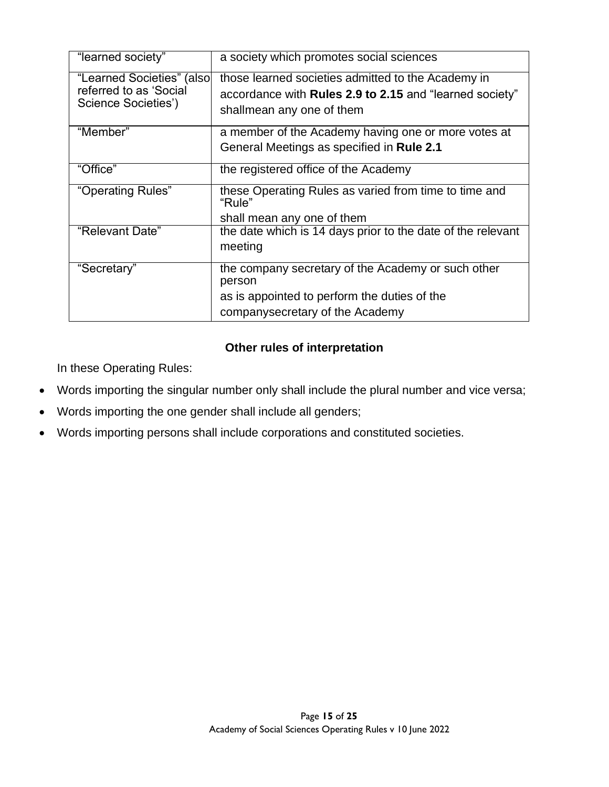| "learned society"                                   | a society which promotes social sciences                                                                      |
|-----------------------------------------------------|---------------------------------------------------------------------------------------------------------------|
| "Learned Societies" (also<br>referred to as 'Social | those learned societies admitted to the Academy in<br>accordance with Rules 2.9 to 2.15 and "learned society" |
| Science Societies')                                 | shallmean any one of them                                                                                     |
| "Member"                                            | a member of the Academy having one or more votes at                                                           |
|                                                     | General Meetings as specified in Rule 2.1                                                                     |
| "Office"                                            | the registered office of the Academy                                                                          |
| "Operating Rules"                                   | these Operating Rules as varied from time to time and<br>"Rule"                                               |
|                                                     | shall mean any one of them                                                                                    |
| "Relevant Date"                                     | the date which is 14 days prior to the date of the relevant                                                   |
|                                                     | meeting                                                                                                       |
| "Secretary"                                         | the company secretary of the Academy or such other<br>person                                                  |
|                                                     | as is appointed to perform the duties of the                                                                  |
|                                                     | companysecretary of the Academy                                                                               |

## **Other rules of interpretation**

In these Operating Rules:

- Words importing the singular number only shall include the plural number and vice versa;
- Words importing the one gender shall include all genders;
- Words importing persons shall include corporations and constituted societies.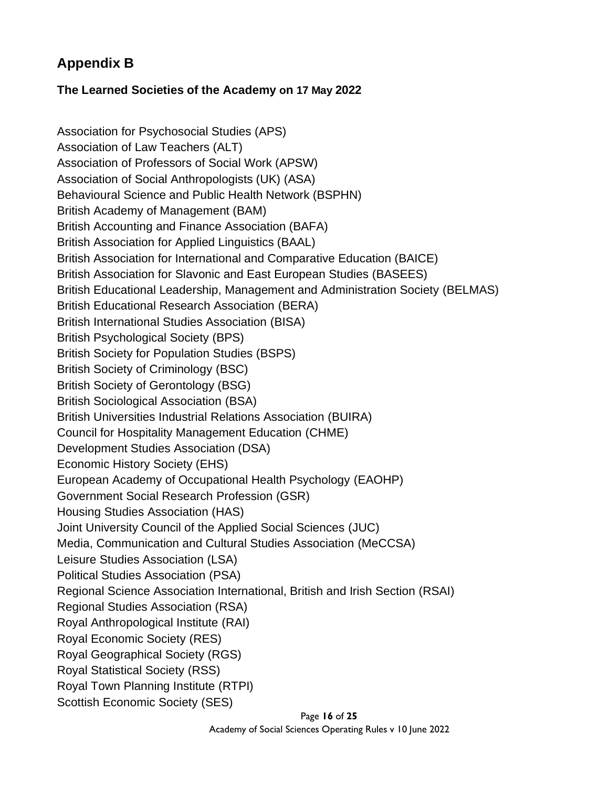## **Appendix B**

### **The Learned Societies of the Academy on 17 May 2022**

Association for Psychosocial Studies (APS) Association of Law Teachers (ALT) Association of Professors of Social Work (APSW) Association of Social Anthropologists (UK) (ASA) Behavioural Science and Public Health Network (BSPHN) British Academy of Management (BAM) British Accounting and Finance Association (BAFA) British Association for Applied Linguistics (BAAL) British Association for International and Comparative Education (BAICE) British Association for Slavonic and East European Studies (BASEES) British Educational Leadership, Management and Administration Society (BELMAS) British Educational Research Association (BERA) British International Studies Association (BISA) British Psychological Society (BPS) British Society for Population Studies (BSPS) British Society of Criminology (BSC) British Society of Gerontology (BSG) British Sociological Association (BSA) British Universities Industrial Relations Association (BUIRA) Council for Hospitality Management Education (CHME) Development Studies Association (DSA) Economic History Society (EHS) European Academy of Occupational Health Psychology (EAOHP) Government Social Research Profession (GSR) Housing Studies Association (HAS) Joint University Council of the Applied Social Sciences (JUC) Media, Communication and Cultural Studies Association (MeCCSA) Leisure Studies Association (LSA) Political Studies Association (PSA) Regional Science Association International, British and Irish Section (RSAI) Regional Studies Association (RSA) Royal Anthropological Institute (RAI) Royal Economic Society (RES) Royal Geographical Society (RGS) Royal Statistical Society (RSS) Royal Town Planning Institute (RTPI) Scottish Economic Society (SES)

Page **16** of **25**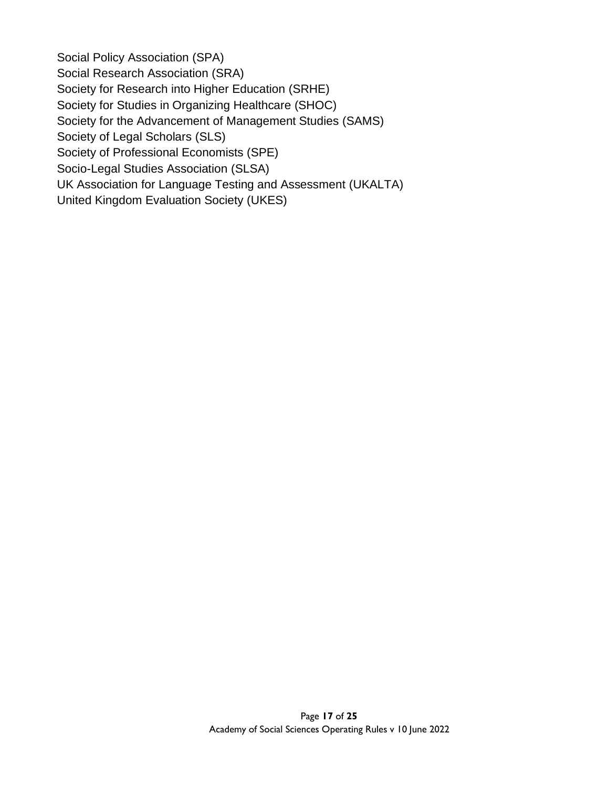Social Policy Association (SPA) Social Research Association (SRA) Society for Research into Higher Education (SRHE) Society for Studies in Organizing Healthcare (SHOC) Society for the Advancement of Management Studies (SAMS) Society of Legal Scholars (SLS) Society of Professional Economists (SPE) Socio-Legal Studies Association (SLSA) UK Association for Language Testing and Assessment (UKALTA) United Kingdom Evaluation Society (UKES)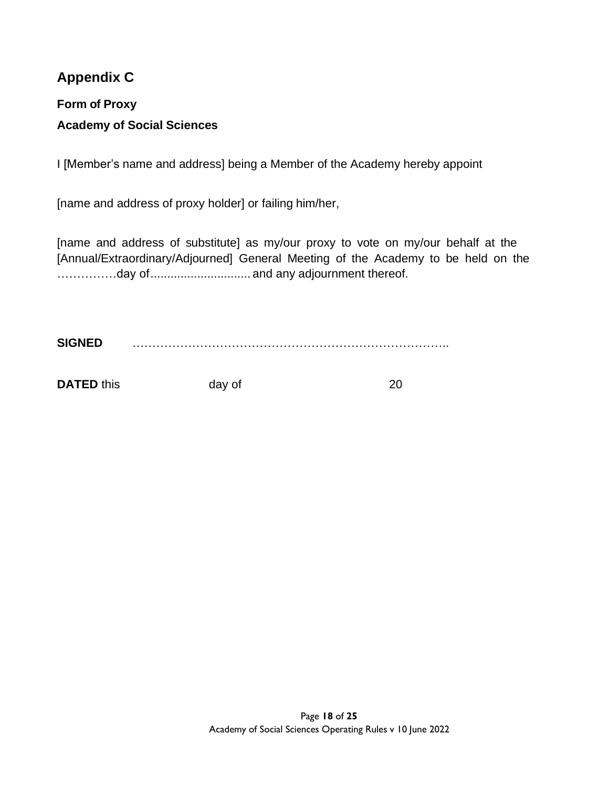## **Appendix C**

# **Form of Proxy Academy of Social Sciences**

I [Member's name and address] being a Member of the Academy hereby appoint

[name and address of proxy holder] or failing him/her,

[name and address of substitute] as my/our proxy to vote on my/our behalf at the [Annual/Extraordinary/Adjourned] General Meeting of the Academy to be held on the ……………day of.............................. and any adjournment thereof.

**SIGNED** ……………………………………………………………………..

**DATED** this day of 20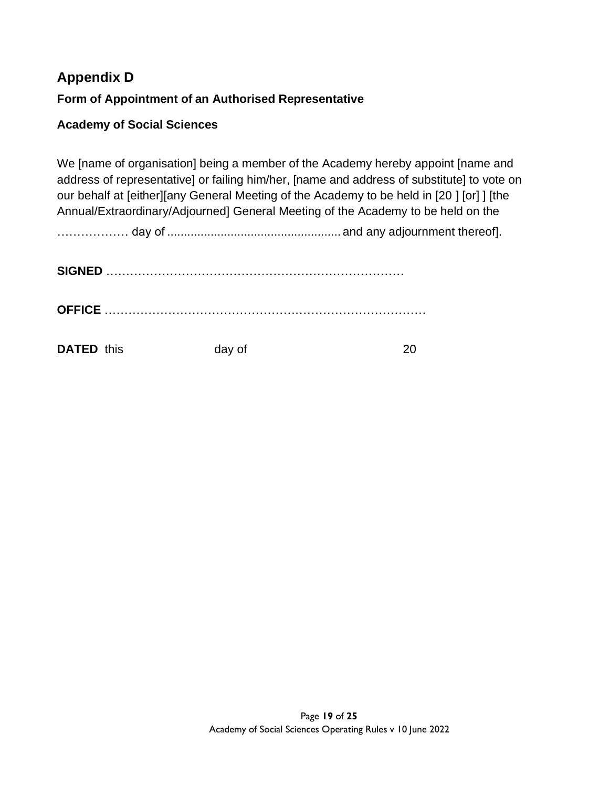# **Appendix D Form of Appointment of an Authorised Representative**

### **Academy of Social Sciences**

We [name of organisation] being a member of the Academy hereby appoint [name and address of representative] or failing him/her, [name and address of substitute] to vote on our behalf at [either][any General Meeting of the Academy to be held in [20 ] [or] ] [the Annual/Extraordinary/Adjourned] General Meeting of the Academy to be held on the

……………… day of .................................................... and any adjournment thereof].

| <b>DATED</b> this | day of |  |
|-------------------|--------|--|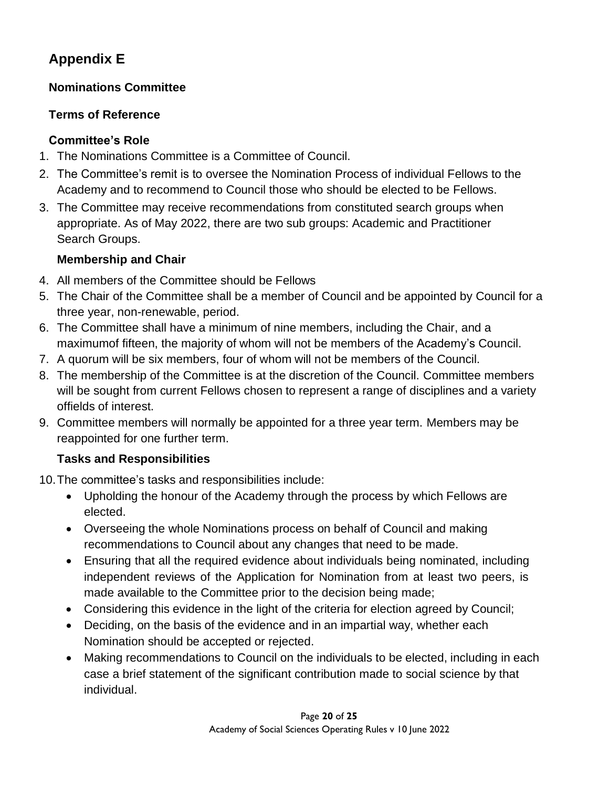# **Appendix E**

## **Nominations Committee**

## **Terms of Reference**

## **Committee's Role**

- 1. The Nominations Committee is a Committee of Council.
- 2. The Committee's remit is to oversee the Nomination Process of individual Fellows to the Academy and to recommend to Council those who should be elected to be Fellows.
- 3. The Committee may receive recommendations from constituted search groups when appropriate. As of May 2022, there are two sub groups: Academic and Practitioner Search Groups.

## **Membership and Chair**

- 4. All members of the Committee should be Fellows
- 5. The Chair of the Committee shall be a member of Council and be appointed by Council for a three year, non-renewable, period.
- 6. The Committee shall have a minimum of nine members, including the Chair, and a maximumof fifteen, the majority of whom will not be members of the Academy's Council.
- 7. A quorum will be six members, four of whom will not be members of the Council.
- 8. The membership of the Committee is at the discretion of the Council. Committee members will be sought from current Fellows chosen to represent a range of disciplines and a variety offields of interest.
- 9. Committee members will normally be appointed for a three year term. Members may be reappointed for one further term.

## **Tasks and Responsibilities**

10.The committee's tasks and responsibilities include:

- Upholding the honour of the Academy through the process by which Fellows are elected.
- Overseeing the whole Nominations process on behalf of Council and making recommendations to Council about any changes that need to be made.
- Ensuring that all the required evidence about individuals being nominated, including independent reviews of the Application for Nomination from at least two peers, is made available to the Committee prior to the decision being made;
- Considering this evidence in the light of the criteria for election agreed by Council;
- Deciding, on the basis of the evidence and in an impartial way, whether each Nomination should be accepted or rejected.
- Making recommendations to Council on the individuals to be elected, including in each case a brief statement of the significant contribution made to social science by that individual.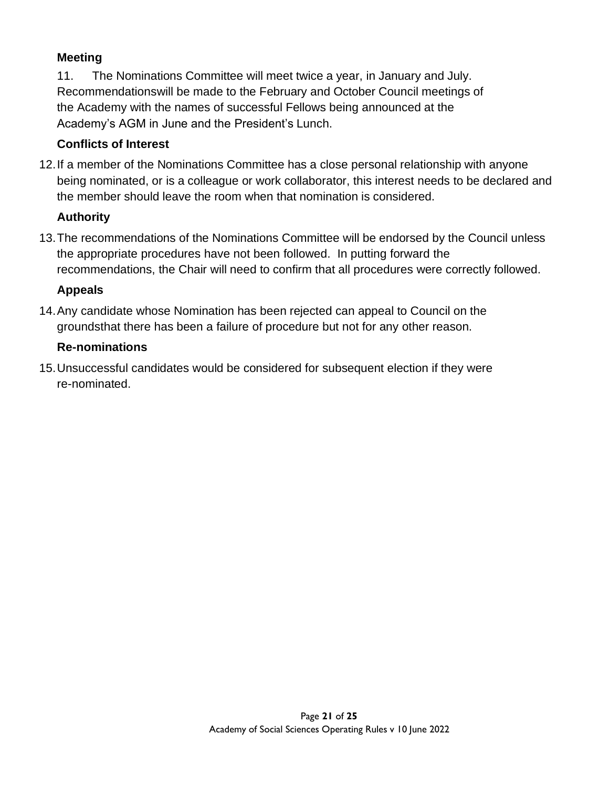## **Meeting**

11. The Nominations Committee will meet twice a year, in January and July. Recommendationswill be made to the February and October Council meetings of the Academy with the names of successful Fellows being announced at the Academy's AGM in June and the President's Lunch.

### **Conflicts of Interest**

12.If a member of the Nominations Committee has a close personal relationship with anyone being nominated, or is a colleague or work collaborator, this interest needs to be declared and the member should leave the room when that nomination is considered.

### **Authority**

13.The recommendations of the Nominations Committee will be endorsed by the Council unless the appropriate procedures have not been followed. In putting forward the recommendations, the Chair will need to confirm that all procedures were correctly followed.

### **Appeals**

14.Any candidate whose Nomination has been rejected can appeal to Council on the groundsthat there has been a failure of procedure but not for any other reason.

### **Re-nominations**

15.Unsuccessful candidates would be considered for subsequent election if they were re-nominated.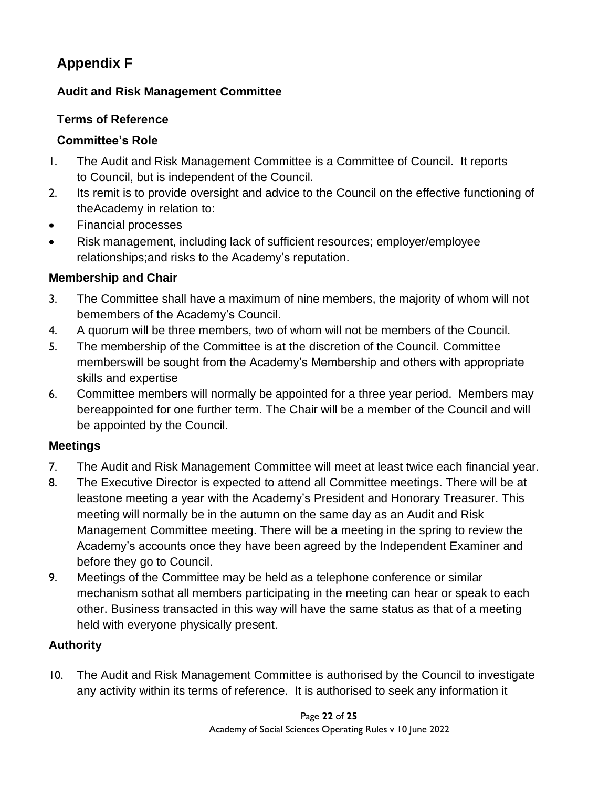# **Appendix F**

## **Audit and Risk Management Committee**

## **Terms of Reference**

## **Committee's Role**

- 1. The Audit and Risk Management Committee is a Committee of Council. It reports to Council, but is independent of the Council.
- 2. Its remit is to provide oversight and advice to the Council on the effective functioning of theAcademy in relation to:
- Financial processes
- Risk management, including lack of sufficient resources; employer/employee relationships;and risks to the Academy's reputation.

## **Membership and Chair**

- 3. The Committee shall have a maximum of nine members, the majority of whom will not bemembers of the Academy's Council.
- 4. A quorum will be three members, two of whom will not be members of the Council.
- 5. The membership of the Committee is at the discretion of the Council. Committee memberswill be sought from the Academy's Membership and others with appropriate skills and expertise
- 6. Committee members will normally be appointed for a three year period. Members may bereappointed for one further term. The Chair will be a member of the Council and will be appointed by the Council.

## **Meetings**

- 7. The Audit and Risk Management Committee will meet at least twice each financial year.
- 8. The Executive Director is expected to attend all Committee meetings. There will be at leastone meeting a year with the Academy's President and Honorary Treasurer. This meeting will normally be in the autumn on the same day as an Audit and Risk Management Committee meeting. There will be a meeting in the spring to review the Academy's accounts once they have been agreed by the Independent Examiner and before they go to Council.
- 9. Meetings of the Committee may be held as a telephone conference or similar mechanism sothat all members participating in the meeting can hear or speak to each other. Business transacted in this way will have the same status as that of a meeting held with everyone physically present.

## **Authority**

10. The Audit and Risk Management Committee is authorised by the Council to investigate any activity within its terms of reference. It is authorised to seek any information it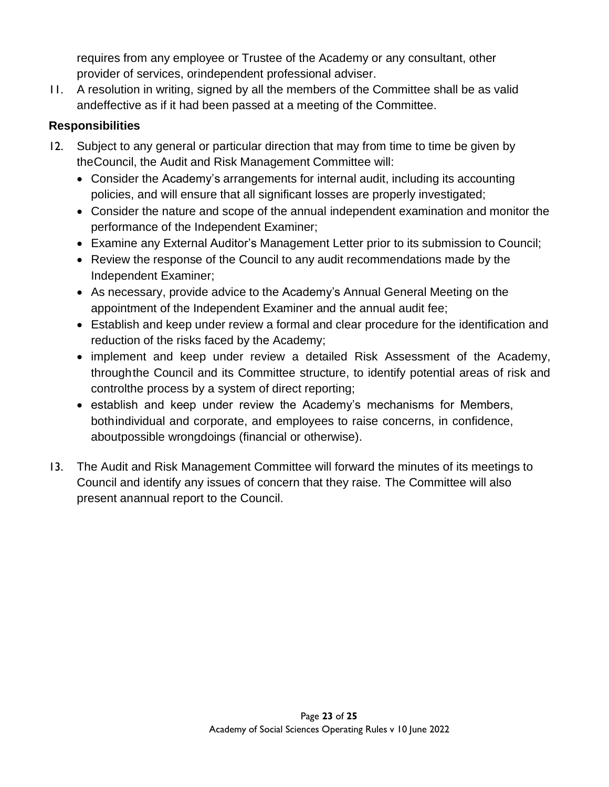requires from any employee or Trustee of the Academy or any consultant, other provider of services, orindependent professional adviser.

11. A resolution in writing, signed by all the members of the Committee shall be as valid andeffective as if it had been passed at a meeting of the Committee.

## **Responsibilities**

- 12. Subject to any general or particular direction that may from time to time be given by theCouncil, the Audit and Risk Management Committee will:
	- Consider the Academy's arrangements for internal audit, including its accounting policies, and will ensure that all significant losses are properly investigated;
	- Consider the nature and scope of the annual independent examination and monitor the performance of the Independent Examiner;
	- Examine any External Auditor's Management Letter prior to its submission to Council;
	- Review the response of the Council to any audit recommendations made by the Independent Examiner;
	- As necessary, provide advice to the Academy's Annual General Meeting on the appointment of the Independent Examiner and the annual audit fee;
	- Establish and keep under review a formal and clear procedure for the identification and reduction of the risks faced by the Academy;
	- implement and keep under review a detailed Risk Assessment of the Academy, throughthe Council and its Committee structure, to identify potential areas of risk and controlthe process by a system of direct reporting;
	- establish and keep under review the Academy's mechanisms for Members, bothindividual and corporate, and employees to raise concerns, in confidence, aboutpossible wrongdoings (financial or otherwise).
- 13. The Audit and Risk Management Committee will forward the minutes of its meetings to Council and identify any issues of concern that they raise. The Committee will also present anannual report to the Council.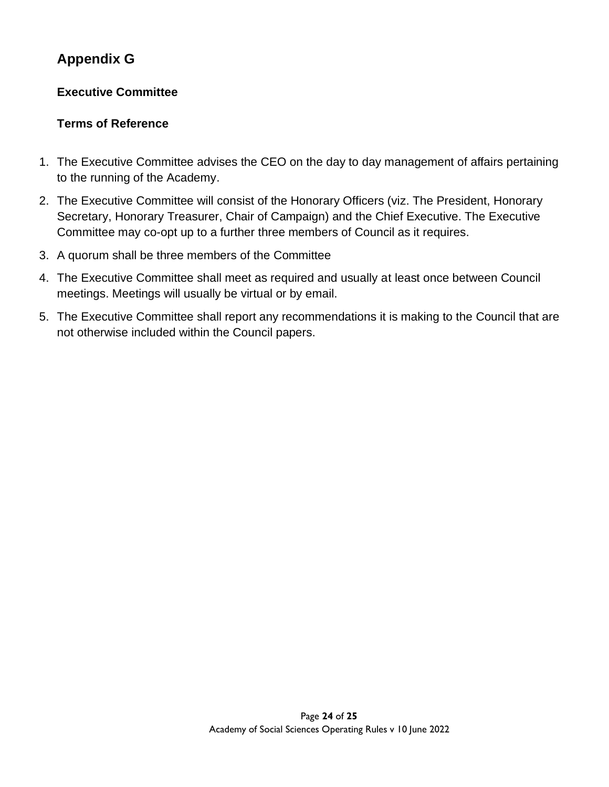# **Appendix G**

## **Executive Committee**

## **Terms of Reference**

- 1. The Executive Committee advises the CEO on the day to day management of affairs pertaining to the running of the Academy.
- 2. The Executive Committee will consist of the Honorary Officers (viz. The President, Honorary Secretary, Honorary Treasurer, Chair of Campaign) and the Chief Executive. The Executive Committee may co-opt up to a further three members of Council as it requires.
- 3. A quorum shall be three members of the Committee
- 4. The Executive Committee shall meet as required and usually at least once between Council meetings. Meetings will usually be virtual or by email.
- 5. The Executive Committee shall report any recommendations it is making to the Council that are not otherwise included within the Council papers.